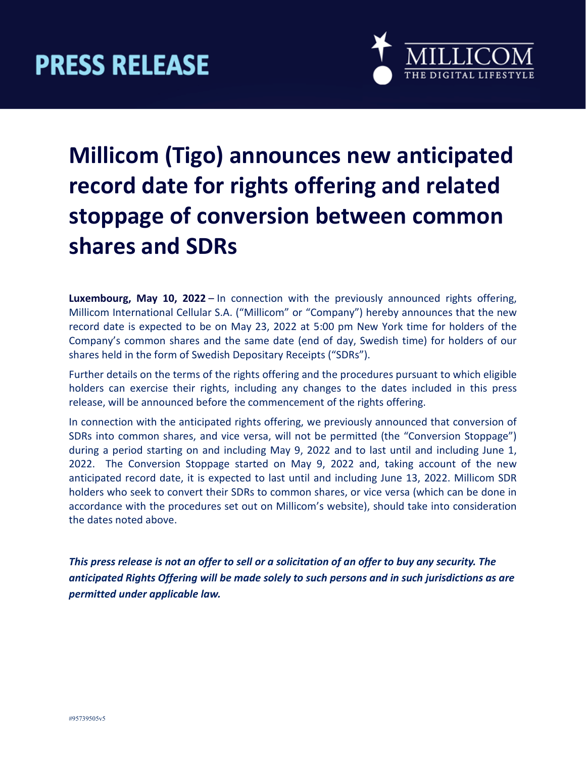

### **Millicom (Tigo) announces new anticipated record date for rights offering and related stoppage of conversion between common shares and SDRs**

**Luxembourg, May 10, 2022** – In connection with the previously announced rights offering, Millicom International Cellular S.A. ("Millicom" or "Company") hereby announces that the new record date is expected to be on May 23, 2022 at 5:00 pm New York time for holders of the Company's common shares and the same date (end of day, Swedish time) for holders of our shares held in the form of Swedish Depositary Receipts ("SDRs").

Further details on the terms of the rights offering and the procedures pursuant to which eligible holders can exercise their rights, including any changes to the dates included in this press release, will be announced before the commencement of the rights offering.

In connection with the anticipated rights offering, we previously announced that conversion of SDRs into common shares, and vice versa, will not be permitted (the "Conversion Stoppage") during a period starting on and including May 9, 2022 and to last until and including June 1, 2022. The Conversion Stoppage started on May 9, 2022 and, taking account of the new anticipated record date, it is expected to last until and including June 13, 2022. Millicom SDR holders who seek to convert their SDRs to common shares, or vice versa (which can be done in accordance with the procedures set out on Millicom's website), should take into consideration the dates noted above.

*This press release is not an offer to sell or a solicitation of an offer to buy any security. The anticipated Rights Offering will be made solely to such persons and in such jurisdictions as are permitted under applicable law.*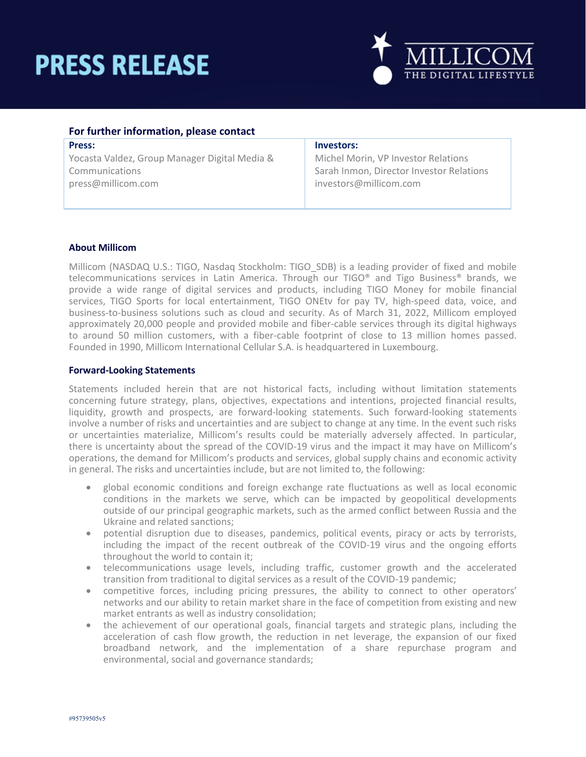# **PRESS RELEASE**



| For further information, please contact       |                                          |
|-----------------------------------------------|------------------------------------------|
| <b>Press:</b>                                 | Investors:                               |
| Yocasta Valdez, Group Manager Digital Media & | Michel Morin, VP Investor Relations      |
| Communications                                | Sarah Inmon, Director Investor Relations |
| press@millicom.com                            | investors@millicom.com                   |
|                                               |                                          |

#### **About Millicom**

Millicom (NASDAQ U.S.: TIGO, Nasdaq Stockholm: TIGO\_SDB) is a leading provider of fixed and mobile telecommunications services in Latin America. Through our TIGO® and Tigo Business® brands, we provide a wide range of digital services and products, including TIGO Money for mobile financial services, TIGO Sports for local entertainment, TIGO ONEtv for pay TV, high-speed data, voice, and business-to-business solutions such as cloud and security. As of March 31, 2022, Millicom employed approximately 20,000 people and provided mobile and fiber-cable services through its digital highways to around 50 million customers, with a fiber-cable footprint of close to 13 million homes passed. Founded in 1990, Millicom International Cellular S.A. is headquartered in Luxembourg.

#### **Forward-Looking Statements**

Statements included herein that are not historical facts, including without limitation statements concerning future strategy, plans, objectives, expectations and intentions, projected financial results, liquidity, growth and prospects, are forward-looking statements. Such forward-looking statements involve a number of risks and uncertainties and are subject to change at any time. In the event such risks or uncertainties materialize, Millicom's results could be materially adversely affected. In particular, there is uncertainty about the spread of the COVID-19 virus and the impact it may have on Millicom's operations, the demand for Millicom's products and services, global supply chains and economic activity in general. The risks and uncertainties include, but are not limited to, the following:

- global economic conditions and foreign exchange rate fluctuations as well as local economic conditions in the markets we serve, which can be impacted by geopolitical developments outside of our principal geographic markets, such as the armed conflict between Russia and the Ukraine and related sanctions;
- potential disruption due to diseases, pandemics, political events, piracy or acts by terrorists, including the impact of the recent outbreak of the COVID-19 virus and the ongoing efforts throughout the world to contain it;
- telecommunications usage levels, including traffic, customer growth and the accelerated transition from traditional to digital services as a result of the COVID-19 pandemic;
- competitive forces, including pricing pressures, the ability to connect to other operators' networks and our ability to retain market share in the face of competition from existing and new market entrants as well as industry consolidation;
- the achievement of our operational goals, financial targets and strategic plans, including the acceleration of cash flow growth, the reduction in net leverage, the expansion of our fixed broadband network, and the implementation of a share repurchase program and environmental, social and governance standards;